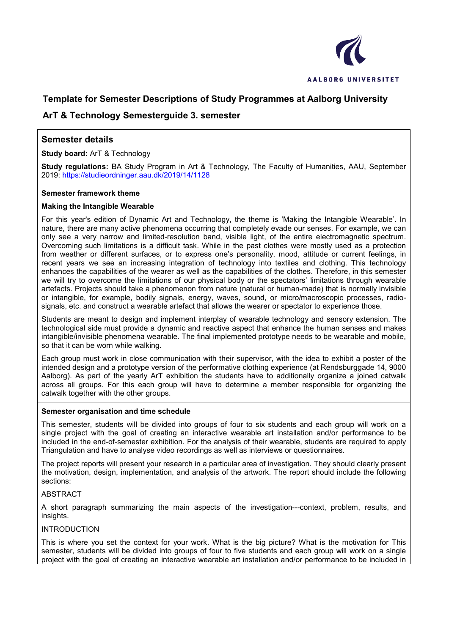

## **Template for Semester Descriptions of Study Programmes at Aalborg University**

## **ArT & Technology Semesterguide 3. semester**

## **Semester details**

**Study board:** ArT & Technology

**Study regulations:** BA Study Program in Art & Technology, The Faculty of Humanities, AAU, September 2019: <https://studieordninger.aau.dk/2019/14/1128>

### **Semester framework theme**

### **Making the Intangible Wearable**

For this year's edition of Dynamic Art and Technology, the theme is 'Making the Intangible Wearable'. In nature, there are many active phenomena occurring that completely evade our senses. For example, we can only see a very narrow and limited-resolution band, visible light, of the entire electromagnetic spectrum. Overcoming such limitations is a difficult task. While in the past clothes were mostly used as a protection from weather or different surfaces, or to express one's personality, mood, attitude or current feelings, in recent years we see an increasing integration of technology into textiles and clothing. This technology enhances the capabilities of the wearer as well as the capabilities of the clothes. Therefore, in this semester we will try to overcome the limitations of our physical body or the spectators' limitations through wearable artefacts. Projects should take a phenomenon from nature (natural or human-made) that is normally invisible or intangible, for example, bodily signals, energy, waves, sound, or micro/macroscopic processes, radiosignals, etc. and construct a wearable artefact that allows the wearer or spectator to experience those.

Students are meant to design and implement interplay of wearable technology and sensory extension. The technological side must provide a dynamic and reactive aspect that enhance the human senses and makes intangible/invisible phenomena wearable. The final implemented prototype needs to be wearable and mobile, so that it can be worn while walking.

Each group must work in close communication with their supervisor, with the idea to exhibit a poster of the intended design and a prototype version of the performative clothing experience (at Rendsburggade 14, 9000 Aalborg). As part of the yearly ArT exhibition the students have to additionally organize a joined catwalk across all groups. For this each group will have to determine a member responsible for organizing the catwalk together with the other groups.

#### **Semester organisation and time schedule**

This semester, students will be divided into groups of four to six students and each group will work on a single project with the goal of creating an interactive wearable art installation and/or performance to be included in the end-of-semester exhibition. For the analysis of their wearable, students are required to apply Triangulation and have to analyse video recordings as well as interviews or questionnaires.

The project reports will present your research in a particular area of investigation. They should clearly present the motivation, design, implementation, and analysis of the artwork. The report should include the following sections:

### **ABSTRACT**

A short paragraph summarizing the main aspects of the investigation---context, problem, results, and insights.

### INTRODUCTION

This is where you set the context for your work. What is the big picture? What is the motivation for This semester, students will be divided into groups of four to five students and each group will work on a single project with the goal of creating an interactive wearable art installation and/or performance to be included in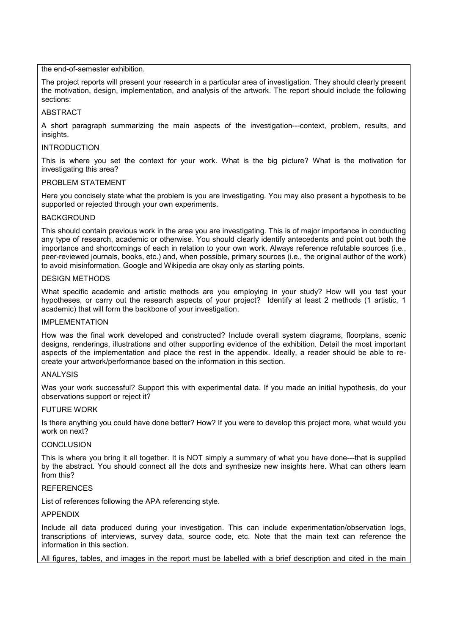the end-of-semester exhibition.

The project reports will present your research in a particular area of investigation. They should clearly present the motivation, design, implementation, and analysis of the artwork. The report should include the following sections:

### ABSTRACT

A short paragraph summarizing the main aspects of the investigation---context, problem, results, and insights.

### INTRODUCTION

This is where you set the context for your work. What is the big picture? What is the motivation for investigating this area?

### PROBLEM STATEMENT

Here you concisely state what the problem is you are investigating. You may also present a hypothesis to be supported or rejected through your own experiments.

### BACKGROUND

This should contain previous work in the area you are investigating. This is of major importance in conducting any type of research, academic or otherwise. You should clearly identify antecedents and point out both the importance and shortcomings of each in relation to your own work. Always reference refutable sources (i.e., peer-reviewed journals, books, etc.) and, when possible, primary sources (i.e., the original author of the work) to avoid misinformation. Google and Wikipedia are okay only as starting points.

### DESIGN METHODS

What specific academic and artistic methods are you employing in your study? How will you test your hypotheses, or carry out the research aspects of your project? Identify at least 2 methods (1 artistic, 1 academic) that will form the backbone of your investigation.

#### IMPI FMFNTATION

How was the final work developed and constructed? Include overall system diagrams, floorplans, scenic designs, renderings, illustrations and other supporting evidence of the exhibition. Detail the most important aspects of the implementation and place the rest in the appendix. Ideally, a reader should be able to recreate your artwork/performance based on the information in this section.

#### ANALYSIS

Was your work successful? Support this with experimental data. If you made an initial hypothesis, do your observations support or reject it?

#### FUTURE WORK

Is there anything you could have done better? How? If you were to develop this project more, what would you work on next?

#### CONCLUSION

This is where you bring it all together. It is NOT simply a summary of what you have done---that is supplied by the abstract. You should connect all the dots and synthesize new insights here. What can others learn from this?

#### **REFERENCES**

List of references following the APA referencing style.

### APPENDIX

Include all data produced during your investigation. This can include experimentation/observation logs, transcriptions of interviews, survey data, source code, etc. Note that the main text can reference the information in this section.

All figures, tables, and images in the report must be labelled with a brief description and cited in the main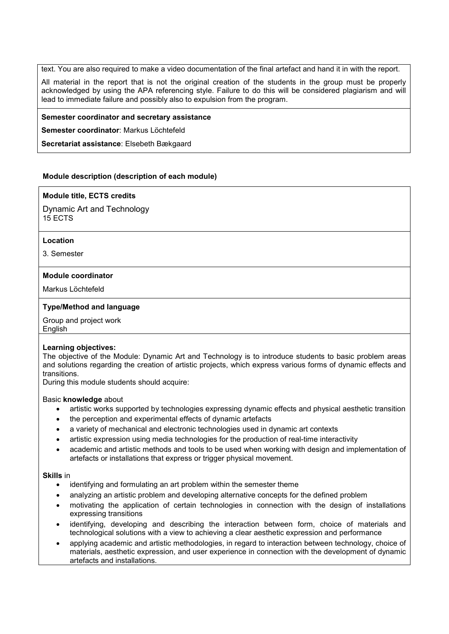text. You are also required to make a video documentation of the final artefact and hand it in with the report.

All material in the report that is not the original creation of the students in the group must be properly acknowledged by using the APA referencing style. Failure to do this will be considered plagiarism and will lead to immediate failure and possibly also to expulsion from the program.

### **Semester coordinator and secretary assistance**

**Semester coordinator**: Markus Löchtefeld

**Secretariat assistance**: Elsebeth Bækgaard

### **Module description (description of each module)**

#### **Module title, ECTS credits**

Dynamic Art and Technology 15 ECTS

#### **Location**

3. Semester

#### **Module coordinator**

Markus Löchtefeld

### **Type/Method and language**

Group and project work

English

#### **Learning objectives:**

The objective of the Module: Dynamic Art and Technology is to introduce students to basic problem areas and solutions regarding the creation of artistic projects, which express various forms of dynamic effects and transitions.

During this module students should acquire:

#### Basic **knowledge** about

- artistic works supported by technologies expressing dynamic effects and physical aesthetic transition
- the perception and experimental effects of dynamic artefacts
- a variety of mechanical and electronic technologies used in dynamic art contexts
- artistic expression using media technologies for the production of real-time interactivity
- academic and artistic methods and tools to be used when working with design and implementation of artefacts or installations that express or trigger physical movement.

#### **Skills** in

- identifying and formulating an art problem within the semester theme
- analyzing an artistic problem and developing alternative concepts for the defined problem
- motivating the application of certain technologies in connection with the design of installations expressing transitions
- identifying, developing and describing the interaction between form, choice of materials and technological solutions with a view to achieving a clear aesthetic expression and performance
- applying academic and artistic methodologies, in regard to interaction between technology, choice of materials, aesthetic expression, and user experience in connection with the development of dynamic artefacts and installations.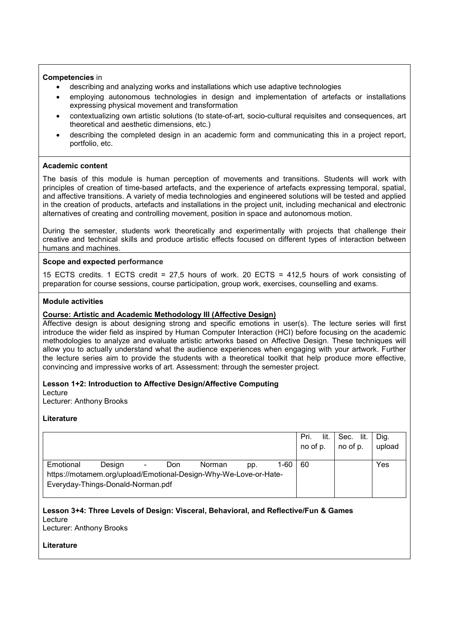### **Competencies** in

- describing and analyzing works and installations which use adaptive technologies
- employing autonomous technologies in design and implementation of artefacts or installations expressing physical movement and transformation
- contextualizing own artistic solutions (to state-of-art, socio-cultural requisites and consequences, art theoretical and aesthetic dimensions, etc.)
- describing the completed design in an academic form and communicating this in a project report, portfolio, etc.

### **Academic content**

The basis of this module is human perception of movements and transitions. Students will work with principles of creation of time-based artefacts, and the experience of artefacts expressing temporal, spatial, and affective transitions. A variety of media technologies and engineered solutions will be tested and applied in the creation of products, artefacts and installations in the project unit, including mechanical and electronic alternatives of creating and controlling movement, position in space and autonomous motion.

During the semester, students work theoretically and experimentally with projects that challenge their creative and technical skills and produce artistic effects focused on different types of interaction between humans and machines.

### **Scope and expected performance**

15 ECTS credits. 1 ECTS credit = 27,5 hours of work. 20 ECTS = 412,5 hours of work consisting of preparation for course sessions, course participation, group work, exercises, counselling and exams.

### **Module activities**

### **Course: Artistic and Academic Methodology III (Affective Design)**

Affective design is about designing strong and specific emotions in user(s). The lecture series will first introduce the wider field as inspired by Human Computer Interaction (HCI) before focusing on the academic methodologies to analyze and evaluate artistic artworks based on Affective Design. These techniques will allow you to actually understand what the audience experiences when engaging with your artwork. Further the lecture series aim to provide the students with a theoretical toolkit that help produce more effective, convincing and impressive works of art. Assessment: through the semester project.

#### **Lesson 1+2: Introduction to Affective Design/Affective Computing**

Lecture

Lecturer: Anthony Brooks

#### **Literature**

|                                                                                                       |        |        |     |        |     |        | lit.<br>Pri.<br>no of p. | Sec. lit.<br>no of p. | Dig.<br>upload |
|-------------------------------------------------------------------------------------------------------|--------|--------|-----|--------|-----|--------|--------------------------|-----------------------|----------------|
| Emotional                                                                                             | Desian | $\sim$ | Don | Norman | pp. | $1-60$ | 60                       |                       | Yes            |
| https://motamem.org/upload/Emotional-Design-Why-We-Love-or-Hate-<br>Everyday-Things-Donald-Norman.pdf |        |        |     |        |     |        |                          |                       |                |

#### **Lesson 3+4: Three Levels of Design: Visceral, Behavioral, and Reflective/Fun & Games** Lecture

Lecturer: Anthony Brooks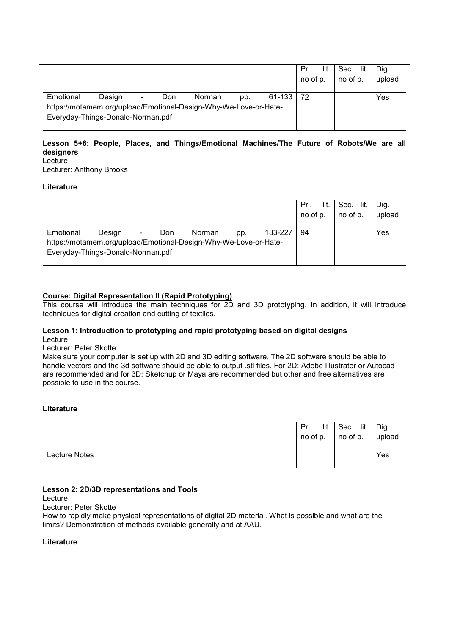|                                   |        |                |     |                                                                  |     |               | lit.<br>Pri.<br>no of p. | Sec. lit.<br>no of p. | Dig.<br>upload |
|-----------------------------------|--------|----------------|-----|------------------------------------------------------------------|-----|---------------|--------------------------|-----------------------|----------------|
| Emotional                         | Desian | $\blacksquare$ | Don | Norman                                                           | pp. | $61-133$   72 |                          |                       | Yes            |
| Everyday-Things-Donald-Norman.pdf |        |                |     | https://motamem.org/upload/Emotional-Design-Why-We-Love-or-Hate- |     |               |                          |                       |                |

#### **Lesson 5+6: People, Places, and Things/Emotional Machines/The Future of Robots/We are all designers Lecture**

Lecturer: Anthony Brooks

**Literature**

|                                   |        |                |     |                                                                            |     |         | lit.<br>Pri.<br>no of p. | Sec. lit.<br>no of p. | Dia.<br>upload |
|-----------------------------------|--------|----------------|-----|----------------------------------------------------------------------------|-----|---------|--------------------------|-----------------------|----------------|
| Emotional                         | Desian | $\blacksquare$ | Don | Norman<br>https://motamem.org/upload/Emotional-Design-Why-We-Love-or-Hate- | pp. | 133-227 | 94                       |                       | Yes            |
| Everyday-Things-Donald-Norman.pdf |        |                |     |                                                                            |     |         |                          |                       |                |

### **Course: Digital Representation II (Rapid Prototyping)**

This course will introduce the main techniques for 2D and 3D prototyping. In addition, it will introduce techniques for digital creation and cutting of textiles.

#### **Lesson 1: Introduction to prototyping and rapid prototyping based on digital designs** Lecture

Lecturer: Peter Skotte

Make sure your computer is set up with 2D and 3D editing software. The 2D software should be able to handle vectors and the 3d software should be able to output .stl files. For 2D: Adobe Illustrator or Autocad are recommended and for 3D: Sketchup or Maya are recommended but other and free alternatives are possible to use in the course.

### **Literature**

|               | lit.<br>Pri.<br>no of p. | Sec. lit.<br>$ $ no of p. | Dig.<br>upload |
|---------------|--------------------------|---------------------------|----------------|
| Lecture Notes |                          |                           | Yes            |

### **Lesson 2: 2D/3D representations and Tools**

Lecture

Lecturer: Peter Skotte

How to rapidly make physical representations of digital 2D material. What is possible and what are the limits? Demonstration of methods available generally and at AAU.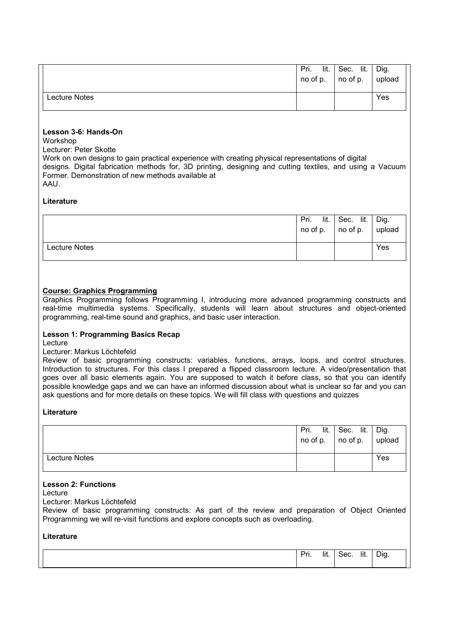|               | lit.<br>Pri.<br>no of p. | Sec. lit.<br>no of p. | Dig.<br>upload |
|---------------|--------------------------|-----------------------|----------------|
| Lecture Notes |                          |                       | Yes            |

### **Lesson 3-6: Hands-On**

Workshop

Lecturer: Peter Skotte

Work on own designs to gain practical experience with creating physical representations of digital designs. Digital fabrication methods for, 3D printing, designing and cutting textiles, and using a Vacuum Former. Demonstration of new methods available at AAU.

### **Literature**

|               | Pri.<br>lit. | Sec. lit.<br>$\ln$ no of p. $\ln$ no of p. $\ln$ upload | Dig. |
|---------------|--------------|---------------------------------------------------------|------|
| Lecture Notes |              |                                                         | Yes  |

### **Course: Graphics Programming**

Graphics Programming follows Programming I, introducing more advanced programming constructs and real-time multimedia systems. Specifically, students will learn about structures and object-oriented programming, real-time sound and graphics, and basic user interaction.

### **Lesson 1: Programming Basics Recap**

Lecture

#### Lecturer: Markus Löchtefeld

Review of basic programming constructs: variables, functions, arrays, loops, and control structures. Introduction to structures. For this class I prepared a flipped classroom lecture. A video/presentation that goes over all basic elements again. You are supposed to watch it before class, so that you can identify possible knowledge gaps and we can have an informed discussion about what is unclear so far and you can ask questions and for more details on these topics. We will fill class with questions and quizzes

### **Literature**

|               | Pri.<br>lit.<br>no of p. | Sec. lit.<br>$\overline{\phantom{a}}$ no of p. | Dig.<br>upload |
|---------------|--------------------------|------------------------------------------------|----------------|
| Lecture Notes |                          |                                                | Yes            |

#### **Lesson 2: Functions**

Lecture

Lecturer: Markus Löchtefeld

Review of basic programming constructs: As part of the review and preparation of Object Oriented Programming we will re-visit functions and explore concepts such as overloading.

| . | .<br>lit. | $\sim$<br>ocu. | .<br>lit. | Dig |
|---|-----------|----------------|-----------|-----|
|   |           |                |           |     |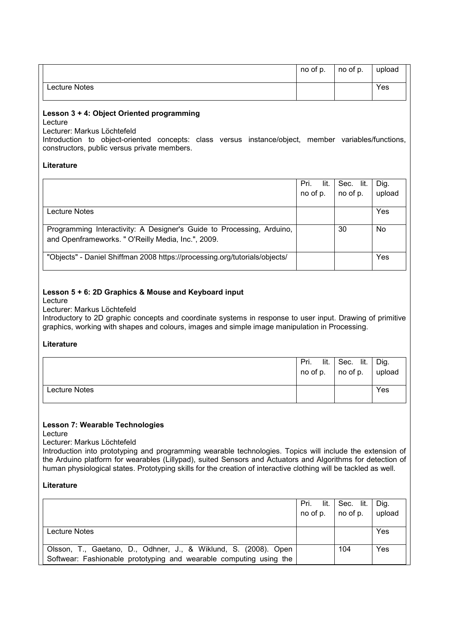|               | no of p. | no of p. | upload |
|---------------|----------|----------|--------|
| Lecture Notes |          |          | Yes    |

#### **Lesson 3 + 4: Object Oriented programming** Lecture

Lecturer: Markus Löchtefeld

Introduction to object-oriented concepts: class versus instance/object, member variables/functions, constructors, public versus private members.

### **Literature**

|                                                                            | lit.<br>Pri. | Sec. lit. | Dig.   |
|----------------------------------------------------------------------------|--------------|-----------|--------|
|                                                                            | no of p.     | no of p.  | upload |
|                                                                            |              |           |        |
| Lecture Notes                                                              |              |           | Yes    |
|                                                                            |              |           |        |
| Programming Interactivity: A Designer's Guide to Processing, Arduino,      |              | 30        | No     |
| and Openframeworks. " O'Reilly Media, Inc.", 2009.                         |              |           |        |
|                                                                            |              |           |        |
| "Objects" - Daniel Shiffman 2008 https://processing.org/tutorials/objects/ |              |           | Yes    |
|                                                                            |              |           |        |

## **Lesson 5 + 6: 2D Graphics & Mouse and Keyboard input**

Lecture

### Lecturer: Markus Löchtefeld

Introductory to 2D graphic concepts and coordinate systems in response to user input. Drawing of primitive graphics, working with shapes and colours, images and simple image manipulation in Processing.

### **Literature**

|               | lit.<br>Pri.<br>$\overline{\phantom{a}}$ no of p. | Sec. lit.<br>$\overline{\phantom{a}}$ no of p. | Dig.<br>upload |
|---------------|---------------------------------------------------|------------------------------------------------|----------------|
| Lecture Notes |                                                   |                                                | Yes            |

### **Lesson 7: Wearable Technologies**

Lecture

### Lecturer: Markus Löchtefeld

Introduction into prototyping and programming wearable technologies. Topics will include the extension of the Arduino platform for wearables (Lillypad), suited Sensors and Actuators and Algorithms for detection of human physiological states. Prototyping skills for the creation of interactive clothing will be tackled as well.

|                                                                                                                                       | Pri. lit.<br>no of p. | Sec. lit.<br>$\vert$ no of p. | Dig.<br>upload |
|---------------------------------------------------------------------------------------------------------------------------------------|-----------------------|-------------------------------|----------------|
| Lecture Notes                                                                                                                         |                       |                               | Yes            |
| Olsson, T., Gaetano, D., Odhner, J., & Wiklund, S. (2008). Open<br>Softwear: Fashionable prototyping and wearable computing using the |                       | 104                           | Yes            |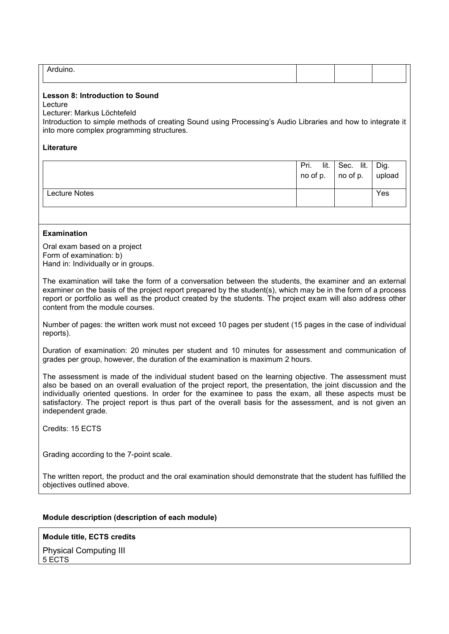| ---- - |
|--------|
|--------|

### **Lesson 8: Introduction to Sound**

Lecture

Lecturer: Markus Löchtefeld

Introduction to simple methods of creating Sound using Processing's Audio Libraries and how to integrate it into more complex programming structures.

### **Literature**

|               | lit.<br>Pri.<br>no of p. | Sec. lit.<br>no of p. | Dig.<br>upload |
|---------------|--------------------------|-----------------------|----------------|
| Lecture Notes |                          |                       | Yes            |

### **Examination**

Oral exam based on a project Form of examination: b) Hand in: Individually or in groups.

The examination will take the form of a conversation between the students, the examiner and an external examiner on the basis of the project report prepared by the student(s), which may be in the form of a process report or portfolio as well as the product created by the students. The project exam will also address other content from the module courses.

Number of pages: the written work must not exceed 10 pages per student (15 pages in the case of individual reports).

Duration of examination: 20 minutes per student and 10 minutes for assessment and communication of grades per group, however, the duration of the examination is maximum 2 hours.

The assessment is made of the individual student based on the learning objective. The assessment must also be based on an overall evaluation of the project report, the presentation, the joint discussion and the individually oriented questions. In order for the examinee to pass the exam, all these aspects must be satisfactory. The project report is thus part of the overall basis for the assessment, and is not given an independent grade.

Credits: 15 ECTS

Grading according to the 7-point scale.

The written report, the product and the oral examination should demonstrate that the student has fulfilled the objectives outlined above.

### **Module description (description of each module)**

**Module title, ECTS credits** Physical Computing III 5 ECTS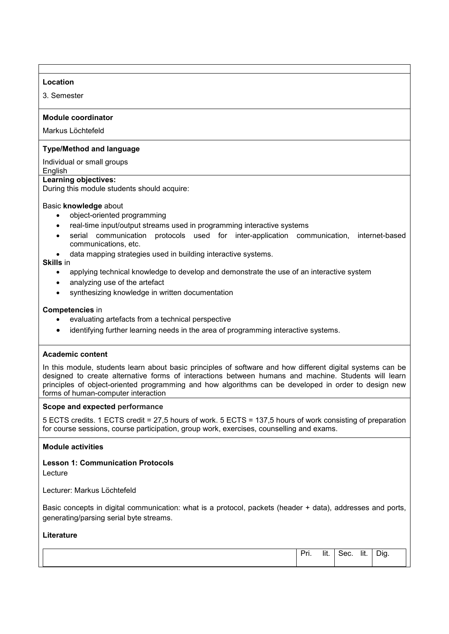### **Location**

3. Semester

### **Module coordinator**

Markus Löchtefeld

### **Type/Method and language**

Individual or small groups

### **English**

### **Learning objectives:**

During this module students should acquire:

### Basic **knowledge** about

- object-oriented programming
- real-time input/output streams used in programming interactive systems
- serial communication protocols used for inter-application communication, internet-based communications, etc.
- data mapping strategies used in building interactive systems.

#### **Skills** in

- applying technical knowledge to develop and demonstrate the use of an interactive system
- analyzing use of the artefact
- synthesizing knowledge in written documentation

### **Competencies** in

- evaluating artefacts from a technical perspective
- identifying further learning needs in the area of programming interactive systems.

#### **Academic content**

In this module, students learn about basic principles of software and how different digital systems can be designed to create alternative forms of interactions between humans and machine. Students will learn principles of object-oriented programming and how algorithms can be developed in order to design new forms of human-computer interaction

#### **Scope and expected performance**

5 ECTS credits. 1 ECTS credit = 27,5 hours of work. 5 ECTS = 137,5 hours of work consisting of preparation for course sessions, course participation, group work, exercises, counselling and exams.

#### **Module activities**

**Lesson 1: Communication Protocols** Lecture

Lecturer: Markus Löchtefeld

Basic concepts in digital communication: what is a protocol, packets (header + data), addresses and ports, generating/parsing serial byte streams.

| $\cdots$<br>$\sim$ $\sim$<br>Dr.<br>-lit.<br>. | $\sim$<br>ocu. | $\cdots$<br>lit. | $-$<br>Dig<br>$\cdot$ |
|------------------------------------------------|----------------|------------------|-----------------------|
|                                                |                |                  |                       |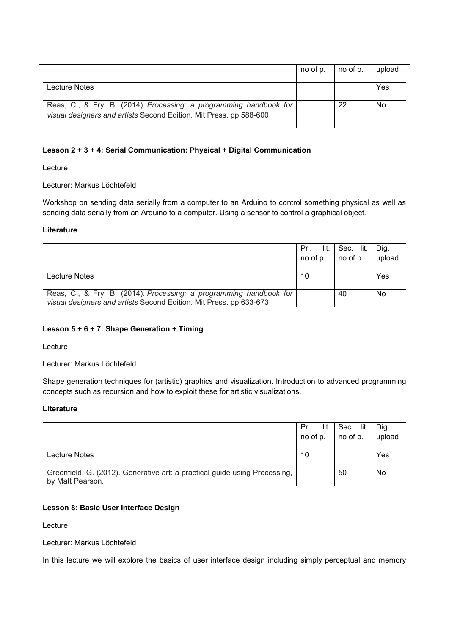|                                                                                                                                          | no of p. | no of p. | upload |
|------------------------------------------------------------------------------------------------------------------------------------------|----------|----------|--------|
| Lecture Notes                                                                                                                            |          |          | Yes    |
| Reas, C., & Fry, B. (2014). Processing: a programming handbook for<br>visual designers and artists Second Edition. Mit Press. pp.588-600 |          | 22       | No     |

### **Lesson 2 + 3 + 4: Serial Communication: Physical + Digital Communication**

Lecture

Lecturer: Markus Löchtefeld

Workshop on sending data serially from a computer to an Arduino to control something physical as well as sending data serially from an Arduino to a computer. Using a sensor to control a graphical object.

### **Literature**

|                                                                                                                                          | Pri.<br>no of p. $\vert$ no of p. | lit.   Sec. lit. | Dig.<br>upload |
|------------------------------------------------------------------------------------------------------------------------------------------|-----------------------------------|------------------|----------------|
| Lecture Notes                                                                                                                            | 10                                |                  | Yes            |
| Reas, C., & Fry, B. (2014). Processing: a programming handbook for<br>visual designers and artists Second Edition. Mit Press. pp.633-673 |                                   | 40               | No             |

### **Lesson 5 + 6 + 7: Shape Generation + Timing**

Lecture

Lecturer: Markus Löchtefeld

Shape generation techniques for (artistic) graphics and visualization. Introduction to advanced programming concepts such as recursion and how to exploit these for artistic visualizations.

### **Literature**

|                                                                                                | lit.<br>Pri.<br>no of p. | Sec. lit.<br>no of p. | Dig.<br>upload |
|------------------------------------------------------------------------------------------------|--------------------------|-----------------------|----------------|
| Lecture Notes                                                                                  | 10                       |                       | Yes            |
| Greenfield, G. (2012). Generative art: a practical guide using Processing,<br>by Matt Pearson. |                          | 50                    | No             |

### **Lesson 8: Basic User Interface Design**

Lecture

Lecturer: Markus Löchtefeld

In this lecture we will explore the basics of user interface design including simply perceptual and memory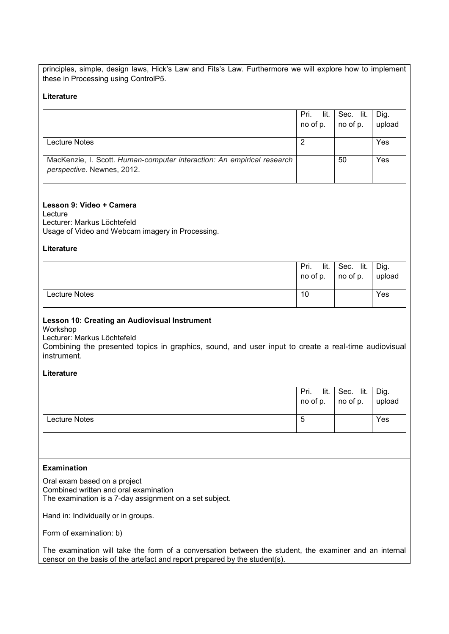principles, simple, design laws, Hick's Law and Fits's Law. Furthermore we will explore how to implement these in Processing using ControlP5.

### **Literature**

|                                                                                                      | Pri.<br>lit.<br>no of p. | Sec. lit.<br>no of p. | Dig.<br>upload |
|------------------------------------------------------------------------------------------------------|--------------------------|-----------------------|----------------|
| Lecture Notes                                                                                        |                          |                       | Yes            |
| MacKenzie, I. Scott. Human-computer interaction: An empirical research<br>perspective. Newnes, 2012. |                          | 50                    | Yes            |

### **Lesson 9: Video + Camera**

Lecture Lecturer: Markus Löchtefeld Usage of Video and Webcam imagery in Processing.

### **Literature**

|               | lit.<br>Pri. | Sec. lit.<br>$\mid$ no of p. $\mid$ no of p. $\mid$ upload | Dig. |
|---------------|--------------|------------------------------------------------------------|------|
| Lecture Notes | 10           |                                                            | Yes  |

## **Lesson 10: Creating an Audiovisual Instrument**

Workshop

Lecturer: Markus Löchtefeld

Combining the presented topics in graphics, sound, and user input to create a real-time audiovisual instrument.

### **Literature**

|               | lit.<br>Pri. | Sec. lit.<br>$\mid$ no of p. $\mid$ no of p. $\mid$ upload | Dig. |
|---------------|--------------|------------------------------------------------------------|------|
| Lecture Notes | Э            |                                                            | Yes  |

### **Examination**

Oral exam based on a project Combined written and oral examination The examination is a 7-day assignment on a set subject.

Hand in: Individually or in groups.

Form of examination: b)

The examination will take the form of a conversation between the student, the examiner and an internal censor on the basis of the artefact and report prepared by the student(s).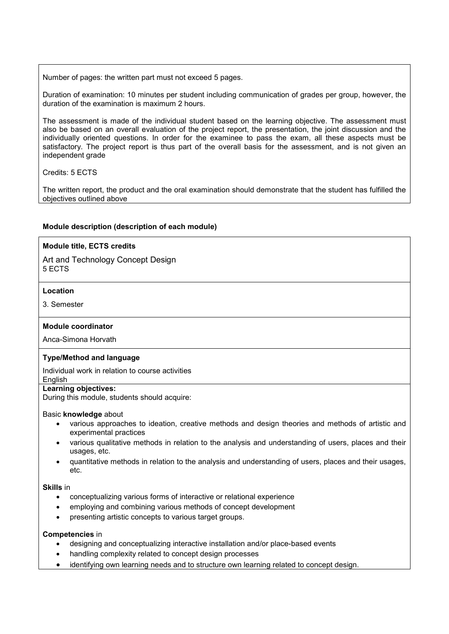Number of pages: the written part must not exceed 5 pages.

Duration of examination: 10 minutes per student including communication of grades per group, however, the duration of the examination is maximum 2 hours.

The assessment is made of the individual student based on the learning objective. The assessment must also be based on an overall evaluation of the project report, the presentation, the joint discussion and the individually oriented questions. In order for the examinee to pass the exam, all these aspects must be satisfactory. The project report is thus part of the overall basis for the assessment, and is not given an independent grade

Credits: 5 ECTS

The written report, the product and the oral examination should demonstrate that the student has fulfilled the objectives outlined above

### **Module description (description of each module)**

### **Module title, ECTS credits**

Art and Technology Concept Design 5 ECTS

### **Location**

3. Semester

#### **Module coordinator**

Anca-Simona Horvath

#### **Type/Method and language**

Individual work in relation to course activities

### English

**Learning objectives:** 

During this module, students should acquire:

#### Basic **knowledge** about

- various approaches to ideation, creative methods and design theories and methods of artistic and experimental practices
- various qualitative methods in relation to the analysis and understanding of users, places and their usages, etc.
- quantitative methods in relation to the analysis and understanding of users, places and their usages, etc.

#### **Skills** in

- conceptualizing various forms of interactive or relational experience
- employing and combining various methods of concept development
- presenting artistic concepts to various target groups.

#### **Competencies** in

- designing and conceptualizing interactive installation and/or place-based events
- handling complexity related to concept design processes
- identifying own learning needs and to structure own learning related to concept design.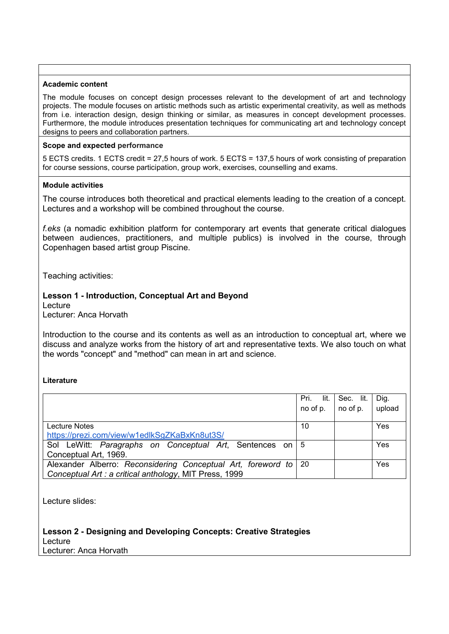### **Academic content**

The module focuses on concept design processes relevant to the development of art and technology projects. The module focuses on artistic methods such as artistic experimental creativity, as well as methods from i.e. interaction design, design thinking or similar, as measures in concept development processes. Furthermore, the module introduces presentation techniques for communicating art and technology concept designs to peers and collaboration partners.

### **Scope and expected performance**

5 ECTS credits. 1 ECTS credit = 27,5 hours of work. 5 ECTS = 137,5 hours of work consisting of preparation for course sessions, course participation, group work, exercises, counselling and exams.

### **Module activities**

The course introduces both theoretical and practical elements leading to the creation of a concept. Lectures and a workshop will be combined throughout the course.

*f.eks* (a nomadic exhibition platform for contemporary art events that generate critical dialogues between audiences, practitioners, and multiple publics) is involved in the course, through Copenhagen based artist group Piscine.

Teaching activities:

## **Lesson 1 - Introduction, Conceptual Art and Beyond**

Lecture

Lecturer: Anca Horvath

Introduction to the course and its contents as well as an introduction to conceptual art, where we discuss and analyze works from the history of art and representative texts. We also touch on what the words "concept" and "method" can mean in art and science.

### **Literature**

|                                                                   | Pri.<br>lit. | Sec. lit. | Dig.   |
|-------------------------------------------------------------------|--------------|-----------|--------|
|                                                                   | no of p.     | no of p.  | upload |
|                                                                   |              |           |        |
| Lecture Notes                                                     | 10           |           | Yes    |
| https://prezi.com/view/w1edlkSgZKaBxKn8ut3S/                      |              |           |        |
| Sol LeWitt: Paragraphs on Conceptual Art, Sentences on 5          |              |           | Yes    |
| Conceptual Art, 1969.                                             |              |           |        |
| Alexander Alberro: Reconsidering Conceptual Art, foreword to   20 |              |           | Yes    |
| Conceptual Art : a critical anthology, MIT Press, 1999            |              |           |        |

Lecture slides:

**Lesson 2 - Designing and Developing Concepts: Creative Strategies** Lecture Lecturer: Anca Horvath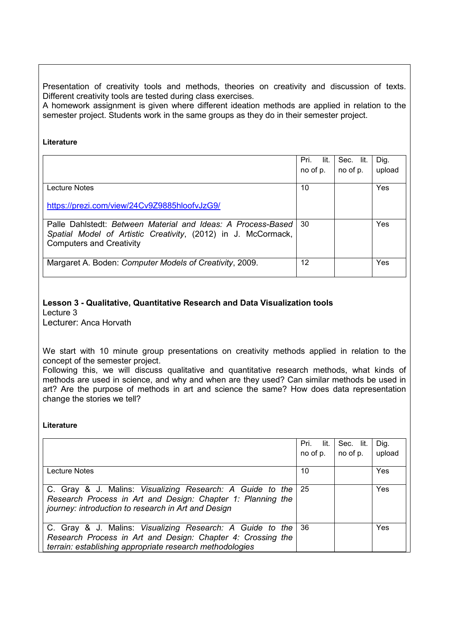Presentation of creativity tools and methods, theories on creativity and discussion of texts. Different creativity tools are tested during class exercises*.*

A homework assignment is given where different ideation methods are applied in relation to the semester project. Students work in the same groups as they do in their semester project.

### **Literature**

|                                                               | lit.<br>Pri. | Sec. lit. | Dig.   |
|---------------------------------------------------------------|--------------|-----------|--------|
|                                                               | no of p.     | no of p.  | upload |
|                                                               |              |           |        |
| Lecture Notes                                                 | 10           |           | Yes    |
|                                                               |              |           |        |
| https://prezi.com/view/24Cv9Z9885hloofvJzG9/                  |              |           |        |
|                                                               |              |           |        |
| Palle Dahlstedt: Between Material and Ideas: A Process-Based  | 30           |           | Yes    |
| Spatial Model of Artistic Creativity, (2012) in J. McCormack, |              |           |        |
| <b>Computers and Creativity</b>                               |              |           |        |
|                                                               |              |           |        |
| Margaret A. Boden: Computer Models of Creativity, 2009.       | 12           |           | Yes    |
|                                                               |              |           |        |

## **Lesson 3 - Qualitative, Quantitative Research and Data Visualization tools**  Lecture 3

Lecturer: Anca Horvath

We start with 10 minute group presentations on creativity methods applied in relation to the concept of the semester project.

Following this, we will discuss qualitative and quantitative research methods, what kinds of methods are used in science, and why and when are they used? Can similar methods be used in art? Are the purpose of methods in art and science the same? How does data representation change the stories we tell?

|                                                                                                                                                                                      | lit.<br>Pri.<br>no of p. | Sec. lit.<br>no of p. | Dig.<br>upload |
|--------------------------------------------------------------------------------------------------------------------------------------------------------------------------------------|--------------------------|-----------------------|----------------|
| Lecture Notes                                                                                                                                                                        | 10                       |                       | Yes            |
| C. Gray & J. Malins: Visualizing Research: A Guide to the<br>Research Process in Art and Design: Chapter 1: Planning the<br>journey: introduction to research in Art and Design      | -25                      |                       | Yes            |
| C. Gray & J. Malins: Visualizing Research: A Guide to the<br>Research Process in Art and Design: Chapter 4: Crossing the<br>terrain: establishing appropriate research methodologies | 36                       |                       | Yes            |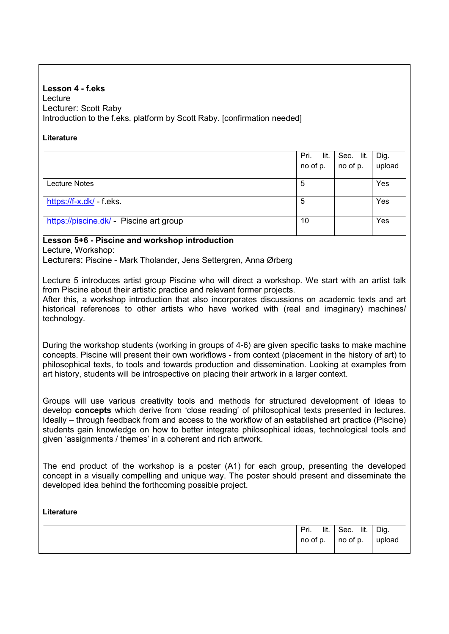## **Lesson 4 - f.eks** Lecture Lecturer: Scott Raby Introduction to the f.eks. platform by Scott Raby. [confirmation needed]

### **Literature**

|                                         | lit.<br>Pri. | Sec. lit. | Dig.   |
|-----------------------------------------|--------------|-----------|--------|
|                                         | no of p.     | no of p.  | upload |
|                                         |              |           |        |
| Lecture Notes                           | 5            |           | Yes    |
|                                         |              |           |        |
| https://f-x.dk/ - f.eks.                | 5            |           | Yes    |
|                                         |              |           |        |
| https://piscine.dk/ - Piscine art group | 10           |           | Yes    |
|                                         |              |           |        |

## **Lesson 5+6 - Piscine and workshop introduction**

Lecture, Workshop:

Lecturers: Piscine - Mark Tholander, Jens Settergren, Anna Ørberg

Lecture 5 introduces artist group Piscine who will direct a workshop. We start with an artist talk from Piscine about their artistic practice and relevant former projects.

After this, a workshop introduction that also incorporates discussions on academic texts and art historical references to other artists who have worked with (real and imaginary) machines/ technology.

During the workshop students (working in groups of 4-6) are given specific tasks to make machine concepts. Piscine will present their own workflows - from context (placement in the history of art) to philosophical texts, to tools and towards production and dissemination. Looking at examples from art history, students will be introspective on placing their artwork in a larger context.

Groups will use various creativity tools and methods for structured development of ideas to develop **concepts** which derive from 'close reading' of philosophical texts presented in lectures. Ideally – through feedback from and access to the workflow of an established art practice (Piscine) students gain knowledge on how to better integrate philosophical ideas, technological tools and given 'assignments / themes' in a coherent and rich artwork.

The end product of the workshop is a poster (A1) for each group, presenting the developed concept in a visually compelling and unique way. The poster should present and disseminate the developed idea behind the forthcoming possible project.

| lit.<br>Pri. | lit.<br>Sec. | Dig.   |
|--------------|--------------|--------|
| no of p.     | no of p.     | upload |
|              |              |        |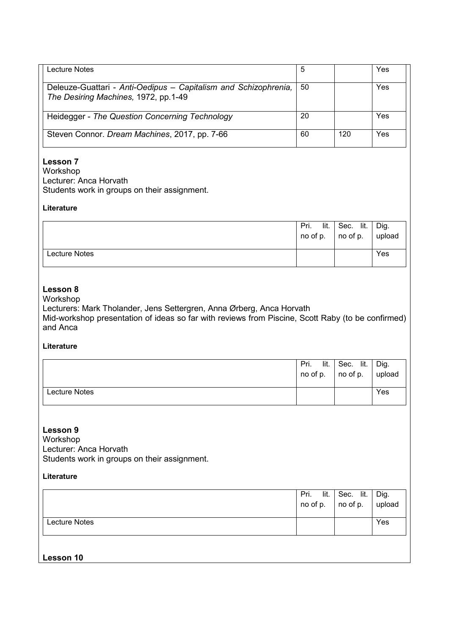| Lecture Notes                                                                                           | 5  |     | Yes |
|---------------------------------------------------------------------------------------------------------|----|-----|-----|
| Deleuze-Guattari - Anti-Oedipus - Capitalism and Schizophrenia,<br>The Desiring Machines, 1972, pp.1-49 | 50 |     | Yes |
| Heidegger - The Question Concerning Technology                                                          | 20 |     | Yes |
| Steven Connor. Dream Machines, 2017, pp. 7-66                                                           | 60 | 120 | Yes |

## **Lesson 7**

Workshop Lecturer: Anca Horvath Students work in groups on their assignment.

### **Literature**

|               | Pri. | lit.   Sec. lit.   Dig.<br>no of p. $\vert$ no of p. $\vert$ upload |     |
|---------------|------|---------------------------------------------------------------------|-----|
| Lecture Notes |      |                                                                     | Yes |

### **Lesson 8**

## Workshop

Lecturers: Mark Tholander, Jens Settergren, Anna Ørberg, Anca Horvath Mid-workshop presentation of ideas so far with reviews from Piscine, Scott Raby (to be confirmed) and Anca

## **Literature**

|               | lit.<br>Pri.<br>no of p. | Sec. lit.<br>no of p. | Dig.<br>upload |
|---------------|--------------------------|-----------------------|----------------|
| Lecture Notes |                          |                       | Yes            |

## **Lesson 9**

Workshop Lecturer: Anca Horvath Students work in groups on their assignment.

|                      | Pri. lit. Sec. lit.<br>no of p. $ $ no of p. $ $ upload | Dig. |
|----------------------|---------------------------------------------------------|------|
| <b>Lecture Notes</b> |                                                         | Yes  |
| Lesson 10            |                                                         |      |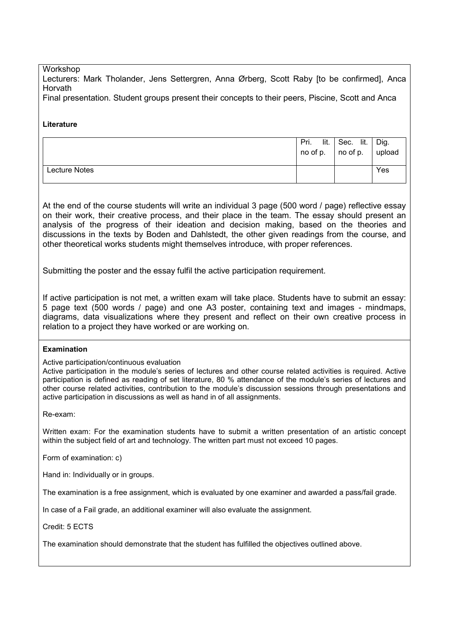### Workshop

Lecturers: Mark Tholander, Jens Settergren, Anna Ørberg, Scott Raby [to be confirmed], Anca **Horvath** 

Final presentation. Student groups present their concepts to their peers, Piscine, Scott and Anca

### **Literature**

|               | lit.<br>Pri.<br>$\overline{\phantom{a}}$ no of p. | Sec. lit.<br>$\overline{\phantom{a}}$ no of p. | Dig.<br>upload |
|---------------|---------------------------------------------------|------------------------------------------------|----------------|
| Lecture Notes |                                                   |                                                | Yes            |

At the end of the course students will write an individual 3 page (500 word / page) reflective essay on their work, their creative process, and their place in the team. The essay should present an analysis of the progress of their ideation and decision making, based on the theories and discussions in the texts by Boden and Dahlstedt, the other given readings from the course, and other theoretical works students might themselves introduce, with proper references.

Submitting the poster and the essay fulfil the active participation requirement.

If active participation is not met, a written exam will take place. Students have to submit an essay: 5 page text (500 words / page) and one A3 poster, containing text and images - mindmaps, diagrams, data visualizations where they present and reflect on their own creative process in relation to a project they have worked or are working on.

### **Examination**

Active participation/continuous evaluation

Active participation in the module's series of lectures and other course related activities is required. Active participation is defined as reading of set literature, 80 % attendance of the module's series of lectures and other course related activities, contribution to the module's discussion sessions through presentations and active participation in discussions as well as hand in of all assignments.

Re-exam:

Written exam: For the examination students have to submit a written presentation of an artistic concept within the subject field of art and technology. The written part must not exceed 10 pages.

Form of examination: c)

Hand in: Individually or in groups.

The examination is a free assignment, which is evaluated by one examiner and awarded a pass/fail grade.

In case of a Fail grade, an additional examiner will also evaluate the assignment.

Credit: 5 ECTS

The examination should demonstrate that the student has fulfilled the objectives outlined above.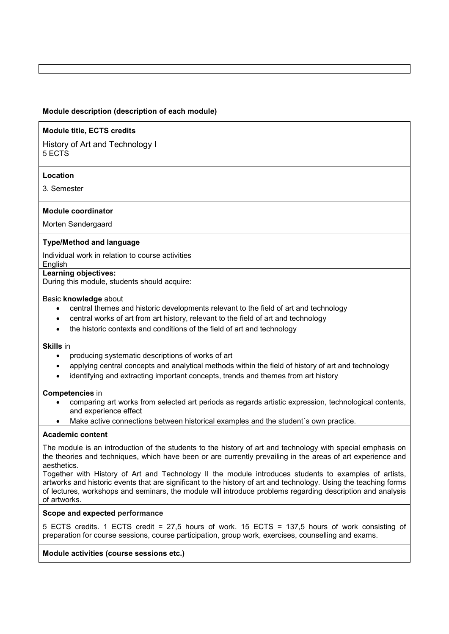### **Module description (description of each module)**

### **Module title, ECTS credits**

History of Art and Technology I 5 ECTS

### **Location**

3. Semester

### **Module coordinator**

Morten Søndergaard

### **Type/Method and language**

Individual work in relation to course activities

### **English**

### **Learning objectives:**

During this module, students should acquire:

#### Basic **knowledge** about

- central themes and historic developments relevant to the field of art and technology
- central works of art from art history, relevant to the field of art and technology
- the historic contexts and conditions of the field of art and technology

#### **Skills** in

- producing systematic descriptions of works of art
- applying central concepts and analytical methods within the field of history of art and technology
- identifying and extracting important concepts, trends and themes from art history

#### **Competencies** in

- comparing art works from selected art periods as regards artistic expression, technological contents, and experience effect
- Make active connections between historical examples and the student's own practice.

### **Academic content**

The module is an introduction of the students to the history of art and technology with special emphasis on the theories and techniques, which have been or are currently prevailing in the areas of art experience and aesthetics.

Together with History of Art and Technology II the module introduces students to examples of artists, artworks and historic events that are significant to the history of art and technology. Using the teaching forms of lectures, workshops and seminars, the module will introduce problems regarding description and analysis of artworks.

#### **Scope and expected performance**

5 ECTS credits. 1 ECTS credit = 27,5 hours of work. 15 ECTS = 137,5 hours of work consisting of preparation for course sessions, course participation, group work, exercises, counselling and exams.

### **Module activities (course sessions etc.)**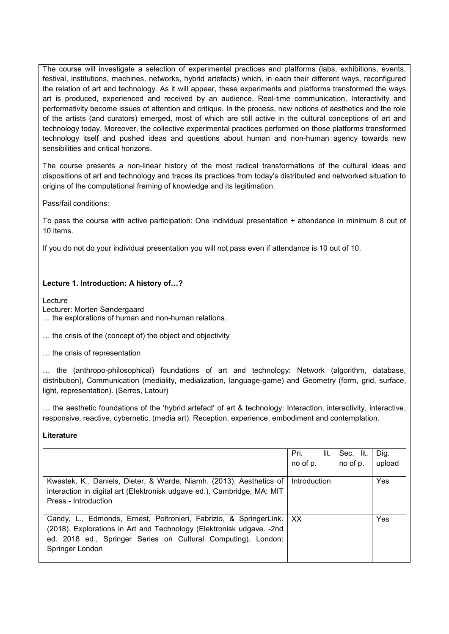The course will investigate a selection of experimental practices and platforms (labs, exhibitions, events, festival, institutions, machines, networks, hybrid artefacts) which, in each their different ways, reconfigured the relation of art and technology. As it will appear, these experiments and platforms transformed the ways art is produced, experienced and received by an audience. Real-time communication, Interactivity and performativity become issues of attention and critique. In the process, new notions of aesthetics and the role of the artists (and curators) emerged, most of which are still active in the cultural conceptions of art and technology today. Moreover, the collective experimental practices performed on those platforms transformed technology itself and pushed ideas and questions about human and non-human agency towards new sensibilities and critical horizons.

The course presents a non-linear history of the most radical transformations of the cultural ideas and dispositions of art and technology and traces its practices from today's distributed and networked situation to origins of the computational framing of knowledge and its legitimation.

Pass/fail conditions:

To pass the course with active participation: One individual presentation + attendance in minimum 8 out of 10 items.

If you do not do your individual presentation you will not pass even if attendance is 10 out of 10.

### **Lecture 1. Introduction: A history of…?**

Lecture

Lecturer: Morten Søndergaard

… the explorations of human and non-human relations.

… the crisis of the (concept of) the object and objectivity

… the crisis of representation

… the (anthropo-philosophical) foundations of art and technology: Network (algorithm, database, distribution), Communication (mediality, medialization, language-game) and Geometry (form, grid, surface, light, representation). (Serres, Latour)

… the aesthetic foundations of the 'hybrid artefact' of art & technology: Interaction, interactivity, interactive, responsive, reactive, cybernetic, (media art). Reception, experience, embodiment and contemplation.

|                                                                                                                                                                                                                                 | Pri.<br>lit.<br>no of p. | Sec. lit.<br>no of p. | Dig.<br>upload |
|---------------------------------------------------------------------------------------------------------------------------------------------------------------------------------------------------------------------------------|--------------------------|-----------------------|----------------|
| Kwastek, K., Daniels, Dieter, & Warde, Niamh. (2013). Aesthetics of<br>interaction in digital art (Elektronisk udgave ed.). Cambridge, MA: MIT<br>Press - Introduction                                                          | Introduction             |                       | Yes            |
| Candy, L., Edmonds, Ernest, Poltronieri, Fabrizio, & SpringerLink.<br>(2018). Explorations in Art and Technology (Elektronisk udgave. - 2nd<br>ed. 2018 ed., Springer Series on Cultural Computing). London:<br>Springer London | XX                       |                       | Yes            |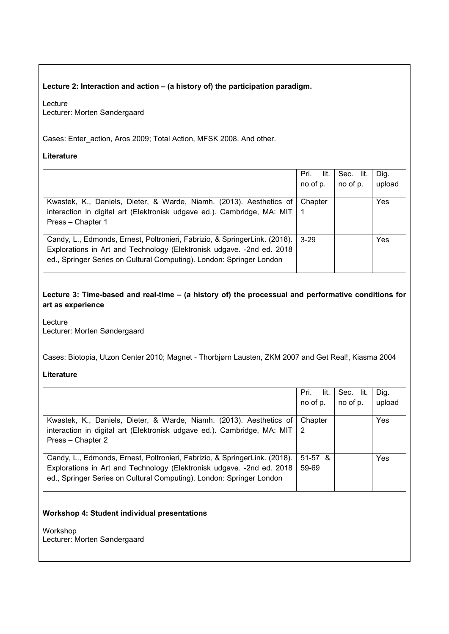### **Lecture 2: Interaction and action – (a history of) the participation paradigm.**

Lecture Lecturer: Morten Søndergaard

Cases: Enter\_action, Aros 2009; Total Action, MFSK 2008. And other.

### **Literature**

|                                                                                                                                                                                                                              | lit.<br>Pri.<br>no of p. | Sec. lit.<br>no of p. | Dig.<br>upload |
|------------------------------------------------------------------------------------------------------------------------------------------------------------------------------------------------------------------------------|--------------------------|-----------------------|----------------|
| Kwastek, K., Daniels, Dieter, & Warde, Niamh. (2013). Aesthetics of<br>interaction in digital art (Elektronisk udgave ed.). Cambridge, MA: MIT<br>Press - Chapter 1                                                          | Chapter                  |                       | Yes            |
| Candy, L., Edmonds, Ernest, Poltronieri, Fabrizio, & SpringerLink. (2018).<br>Explorations in Art and Technology (Elektronisk udgave. - 2nd ed. 2018<br>ed., Springer Series on Cultural Computing). London: Springer London | $3-29$                   |                       | Yes            |

**Lecture 3: Time-based and real-time – (a history of) the processual and performative conditions for art as experience** 

Lecture Lecturer: Morten Søndergaard

Cases: Biotopia, Utzon Center 2010; Magnet - Thorbjørn Lausten, ZKM 2007 and Get Real!, Kiasma 2004

### **Literature**

| lit.<br>Pri.                                                                      | Sec. lit. | Dig.   |
|-----------------------------------------------------------------------------------|-----------|--------|
| no of p.                                                                          | no of p.  | upload |
|                                                                                   |           |        |
| Chapter                                                                           |           | Yes    |
| interaction in digital art (Elektronisk udgave ed.). Cambridge, MA: MIT $\vert$ 2 |           |        |
|                                                                                   |           |        |
| $51-57$ &                                                                         |           | Yes    |
| 59-69                                                                             |           |        |
|                                                                                   |           |        |
|                                                                                   |           |        |

### **Workshop 4: Student individual presentations**

Workshop Lecturer: Morten Søndergaard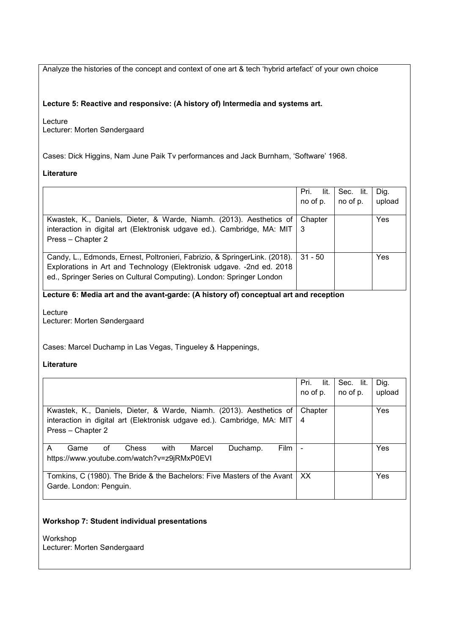Analyze the histories of the concept and context of one art & tech 'hybrid artefact' of your own choice

### **Lecture 5: Reactive and responsive: (A history of) Intermedia and systems art.**

Lecture Lecturer: Morten Søndergaard

Cases: Dick Higgins, Nam June Paik Tv performances and Jack Burnham, 'Software' 1968.

### **Literature**

|                                                                                                                                                                                                                              | Pri.<br>lit.<br>no of p. | Sec. lit.<br>no of p. | Dig.<br>upload |
|------------------------------------------------------------------------------------------------------------------------------------------------------------------------------------------------------------------------------|--------------------------|-----------------------|----------------|
| Kwastek, K., Daniels, Dieter, & Warde, Niamh. (2013). Aesthetics of<br>interaction in digital art (Elektronisk udgave ed.). Cambridge, MA: MIT  <br>Press - Chapter 2                                                        | Chapter<br>-3            |                       | Yes            |
| Candy, L., Edmonds, Ernest, Poltronieri, Fabrizio, & SpringerLink. (2018).<br>Explorations in Art and Technology (Elektronisk udgave. - 2nd ed. 2018<br>ed., Springer Series on Cultural Computing). London: Springer London | $31 - 50$                |                       | Yes            |

## **Lecture 6: Media art and the avant-garde: (A history of) conceptual art and reception**

Lecture Lecturer: Morten Søndergaard

Cases: Marcel Duchamp in Las Vegas, Tingueley & Happenings,

**Literature**

|                                                                         | lit.<br>Pri.   | Sec. lit. | Dig.   |
|-------------------------------------------------------------------------|----------------|-----------|--------|
|                                                                         | no of p.       | no of p.  | upload |
|                                                                         |                |           |        |
| Kwastek, K., Daniels, Dieter, & Warde, Niamh. (2013). Aesthetics of     | Chapter        |           | Yes    |
| interaction in digital art (Elektronisk udgave ed.). Cambridge, MA: MIT | 4              |           |        |
| Press - Chapter 2                                                       |                |           |        |
|                                                                         |                |           |        |
| with<br>Film<br>Chess<br>of<br>Marcel<br>Duchamp.<br>Game<br>A          | $\blacksquare$ |           | Yes    |
| https://www.youtube.com/watch?v=z9jRMxP0EVI                             |                |           |        |
|                                                                         |                |           |        |
| Tomkins, C (1980). The Bride & the Bachelors: Five Masters of the Avant | XX.            |           | Yes    |
| Garde. London: Penguin.                                                 |                |           |        |
|                                                                         |                |           |        |

### **Workshop 7: Student individual presentations**

Workshop Lecturer: Morten Søndergaard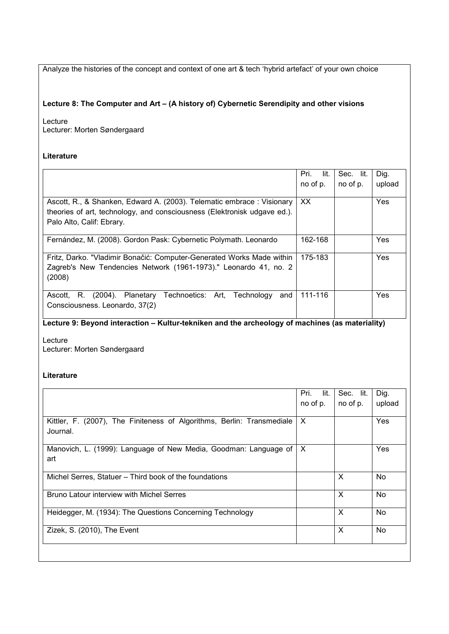Analyze the histories of the concept and context of one art & tech 'hybrid artefact' of your own choice

### **Lecture 8: The Computer and Art – (A history of) Cybernetic Serendipity and other visions**

Lecture Lecturer: Morten Søndergaard

### **Literature**

|                                                                                                                                                                                | lit.<br>Pri.<br>no of p. | Sec. lit.<br>no of p. | Dig.<br>upload |
|--------------------------------------------------------------------------------------------------------------------------------------------------------------------------------|--------------------------|-----------------------|----------------|
| Ascott, R., & Shanken, Edward A. (2003). Telematic embrace: Visionary<br>theories of art, technology, and consciousness (Elektronisk udgave ed.).<br>Palo Alto, Calif: Ebrary. | XX.                      |                       | Yes            |
| Fernández, M. (2008). Gordon Pask: Cybernetic Polymath. Leonardo                                                                                                               | 162-168                  |                       | Yes            |
| Fritz, Darko. "Vladimir Bonačić: Computer-Generated Works Made within<br>Zagreb's New Tendencies Network (1961-1973)." Leonardo 41, no. 2<br>(2008)                            | 175-183                  |                       | Yes            |
| Planetary Technoetics: Art, Technology<br>R.<br>$(2004)$ .<br>Ascott.<br>and<br>Consciousness. Leonardo, 37(2)                                                                 | 111-116                  |                       | Yes            |

# **Lecture 9: Beyond interaction – Kultur-tekniken and the archeology of machines (as materiality)**

Lecture Lecturer: Morten Søndergaard

|                                                                        | Pri.<br>lit. | Sec. lit. | Dig.      |
|------------------------------------------------------------------------|--------------|-----------|-----------|
|                                                                        | no of p.     | no of p.  | upload    |
|                                                                        |              |           |           |
| Kittler, F. (2007), The Finiteness of Algorithms, Berlin: Transmediale | X            |           | Yes       |
| Journal.                                                               |              |           |           |
| Manovich, L. (1999): Language of New Media, Goodman: Language of       | $\times$     |           | Yes       |
| art                                                                    |              |           |           |
|                                                                        |              |           |           |
| Michel Serres, Statuer – Third book of the foundations                 |              | X         | <b>No</b> |
|                                                                        |              |           |           |
| <b>Bruno Latour interview with Michel Serres</b>                       |              | X         | No        |
|                                                                        |              |           |           |
| Heidegger, M. (1934): The Questions Concerning Technology              |              | X         | <b>No</b> |
|                                                                        |              | X         |           |
| Zizek, S. (2010), The Event                                            |              |           | <b>No</b> |
|                                                                        |              |           |           |
|                                                                        |              |           |           |